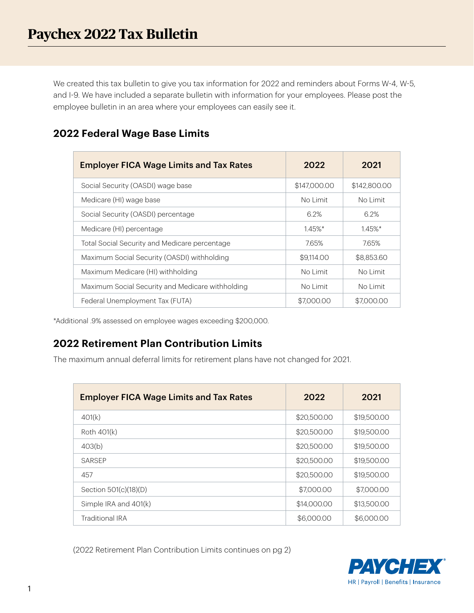We created this tax bulletin to give you tax information for 2022 and reminders about Forms W-4, W-5, and I-9. We have included a separate bulletin with information for your employees. Please post the employee bulletin in an area where your employees can easily see it.

| <b>Employer FICA Wage Limits and Tax Rates</b>   | 2022         | 2021         |
|--------------------------------------------------|--------------|--------------|
| Social Security (OASDI) wage base                | \$147,000.00 | \$142,800,00 |
| Medicare (HI) wage base                          | No Limit     | No Limit     |
| Social Security (OASDI) percentage               | 62%          | 62%          |
| Medicare (HI) percentage                         | $1.45\%$ *   | $1.45\%$ *   |
| Total Social Security and Medicare percentage    | 765%         | 7.65%        |
| Maximum Social Security (OASDI) withholding      | \$9,114,00   | \$8,853,60   |
| Maximum Medicare (HI) withholding                | No Limit     | No Limit     |
| Maximum Social Security and Medicare withholding | No Limit     | No Limit     |
| Federal Unemployment Tax (FUTA)                  | \$7,000.00   | \$7,000,00   |

### **2022 Federal Wage Base Limits**

\*Additional .9% assessed on employee wages exceeding \$200,000.

## **2022 Retirement Plan Contribution Limits**

The maximum annual deferral limits for retirement plans have not changed for 2021.

| <b>Employer FICA Wage Limits and Tax Rates</b> | 2022        | 2021        |
|------------------------------------------------|-------------|-------------|
| 401(k)                                         | \$20,500.00 | \$19,500.00 |
| Roth 401(k)                                    | \$20,500.00 | \$19,500.00 |
| 403(b)                                         | \$20,500.00 | \$19,500.00 |
| SARSEP                                         | \$20,500.00 | \$19,500.00 |
| 457                                            | \$20,500.00 | \$19,500.00 |
| Section 501(c)(18)(D)                          | \$7,000.00  | \$7,000.00  |
| Simple IRA and 401(k)                          | \$14,000.00 | \$13,500.00 |
| <b>Traditional IRA</b>                         | \$6,000.00  | \$6,000.00  |

(2022 Retirement Plan Contribution Limits continues on pg 2)

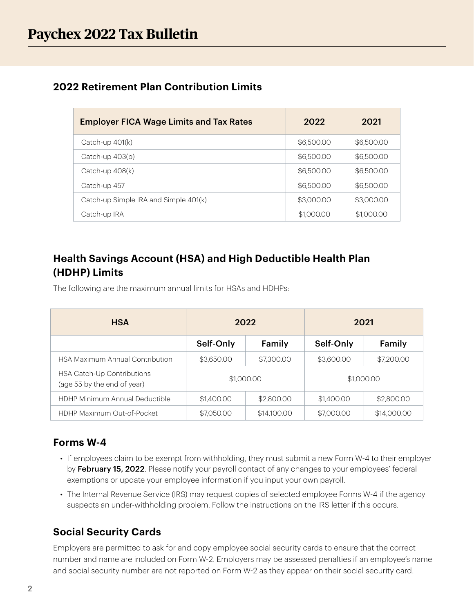### **2022 Retirement Plan Contribution Limits**

| <b>Employer FICA Wage Limits and Tax Rates</b> | 2022       | 2021       |
|------------------------------------------------|------------|------------|
| Catch-up 401(k)                                | \$6,500.00 | \$6,500.00 |
| Catch-up 403(b)                                | \$6,500,00 | \$6,500.00 |
| Catch-up $408(k)$                              | \$6,500.00 | \$6,500.00 |
| Catch-up 457                                   | \$6,500.00 | \$6,500.00 |
| Catch-up Simple IRA and Simple 401(k)          | \$3,000,00 | \$3,000,00 |
| Catch-up IRA                                   | \$1,000.00 | \$1,000.00 |

# **Health Savings Account (HSA) and High Deductible Health Plan (HDHP) Limits**

The following are the maximum annual limits for HSAs and HDHPs:

| <b>HSA</b>                                                | 2022       |             | 2021       |             |
|-----------------------------------------------------------|------------|-------------|------------|-------------|
|                                                           | Self-Only  | Family      | Self-Only  | Family      |
| <b>HSA Maximum Annual Contribution</b>                    | \$3,650.00 | \$7,300.00  | \$3,600.00 | \$7,200.00  |
| HSA Catch-Up Contributions<br>(age 55 by the end of year) | \$1,000.00 |             | \$1,000.00 |             |
| <b>HDHP Minimum Annual Deductible</b>                     | \$1,400.00 | \$2,800.00  | \$1,400.00 | \$2,800.00  |
| HDHP Maximum Out-of-Pocket                                | \$7,050.00 | \$14,100.00 | \$7,000.00 | \$14,000.00 |

#### **Forms W-4**

- If employees claim to be exempt from withholding, they must submit a new Form W-4 to their employer by February 15, 2022. Please notify your payroll contact of any changes to your employees' federal exemptions or update your employee information if you input your own payroll.
- The Internal Revenue Service (IRS) may request copies of selected employee Forms W-4 if the agency suspects an under-withholding problem. Follow the instructions on the IRS letter if this occurs.

### **Social Security Cards**

Employers are permitted to ask for and copy employee social security cards to ensure that the correct number and name are included on Form W-2. Employers may be assessed penalties if an employee's name and social security number are not reported on Form W-2 as they appear on their social security card.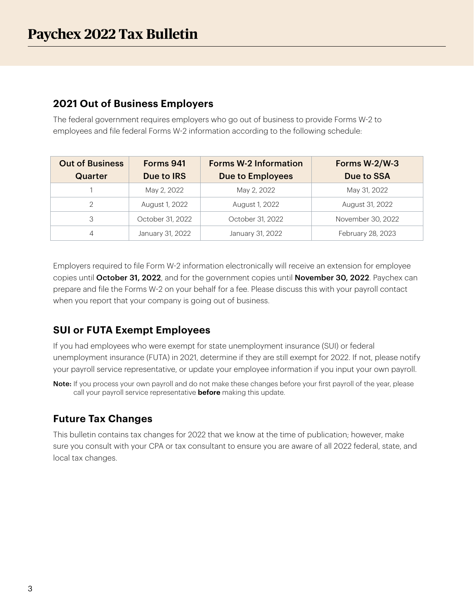#### **2021 Out of Business Employers**

The federal government requires employers who go out of business to provide Forms W-2 to employees and file federal Forms W-2 information according to the following schedule:

| <b>Out of Business</b> | Forms 941        | <b>Forms W-2 Information</b> | Forms W-2/W-3     |
|------------------------|------------------|------------------------------|-------------------|
| Quarter                | Due to IRS       | <b>Due to Employees</b>      | Due to SSA        |
|                        | May 2, 2022      | May 2, 2022                  | May 31, 2022      |
|                        | August 1, 2022   | August 1, 2022               | August 31, 2022   |
| 3                      | October 31, 2022 | October 31, 2022             | November 30, 2022 |
| 4                      | January 31, 2022 | January 31, 2022             | February 28, 2023 |

Employers required to file Form W-2 information electronically will receive an extension for employee copies until October 31, 2022, and for the government copies until November 30, 2022. Paychex can prepare and file the Forms W-2 on your behalf for a fee. Please discuss this with your payroll contact when you report that your company is going out of business.

## **SUI or FUTA Exempt Employees**

If you had employees who were exempt for state unemployment insurance (SUI) or federal unemployment insurance (FUTA) in 2021, determine if they are still exempt for 2022. If not, please notify your payroll service representative, or update your employee information if you input your own payroll.

Note: If you process your own payroll and do not make these changes before your first payroll of the year, please call your payroll service representative **before** making this update.

## **Future Tax Changes**

This bulletin contains tax changes for 2022 that we know at the time of publication; however, make sure you consult with your CPA or tax consultant to ensure you are aware of all 2022 federal, state, and local tax changes.